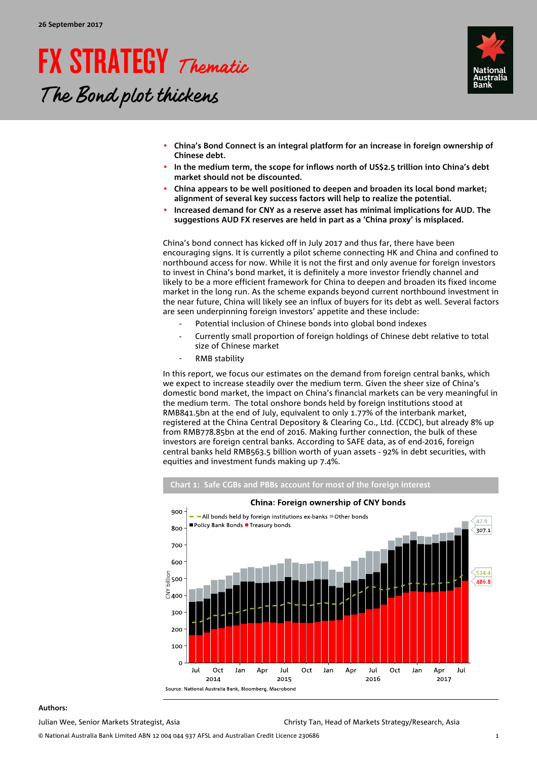# FX STRATEGY Thematic The Bond plot thickens



- **China's Bond Connect is an integral platform for an increase in foreign ownership of Chinese debt.**
- **In the medium term, the scope for inflows north of US\$2.5 trillion into China's debt market should not be discounted.**
- **China appears to be well positioned to deepen and broaden its local bond market; alignment of several key success factors will help to realize the potential.**
- **Increased demand for CNY as a reserve asset has minimal implications for AUD. The suggestions AUD FX reserves are held in part as a 'China proxy' is misplaced.**

China's bond connect has kicked off in July 2017 and thus far, there have been encouraging signs. It is currently a pilot scheme connecting HK and China and confined to northbound access for now. While it is not the first and only avenue for foreign investors to invest in China's bond market, it is definitely a more investor friendly channel and likely to be a more efficient framework for China to deepen and broaden its fixed income market in the long run. As the scheme expands beyond current northbound investment in the near future, China will likely see an influx of buyers for its debt as well. Several factors are seen underpinning foreign investors' appetite and these include:

- Potential inclusion of Chinese bonds into global bond indexes
- Currently small proportion of foreign holdings of Chinese debt relative to total size of Chinese market
- RMB stability

In this report, we focus our estimates on the demand from foreign central banks, which we expect to increase steadily over the medium term. Given the sheer size of China's domestic bond market, the impact on China's financial markets can be very meaningful in the medium term. The total onshore bonds held by foreign institutions stood at RMB841.5bn at the end of July, equivalent to only 1.77% of the interbank market, registered at the China Central Depository & Clearing Co., Ltd. (CCDC), but already 8% up from RMB778.85bn at the end of 2016. Making further connection, the bulk of these investors are foreign central banks. According to SAFE data, as of end-2016, foreign central banks held RMB563.5 billion worth of yuan assets - 92% in debt securities, with equities and investment funds making up 7.4%.



#### **Authors:**

Julian Wee, Senior Markets Strategist, Asia Christy Tan, Head of Markets Strategy/Research, Asia

© National Australia Bank Limited ABN 12 004 044 937 AFSL and Australian Credit Licence 230686 1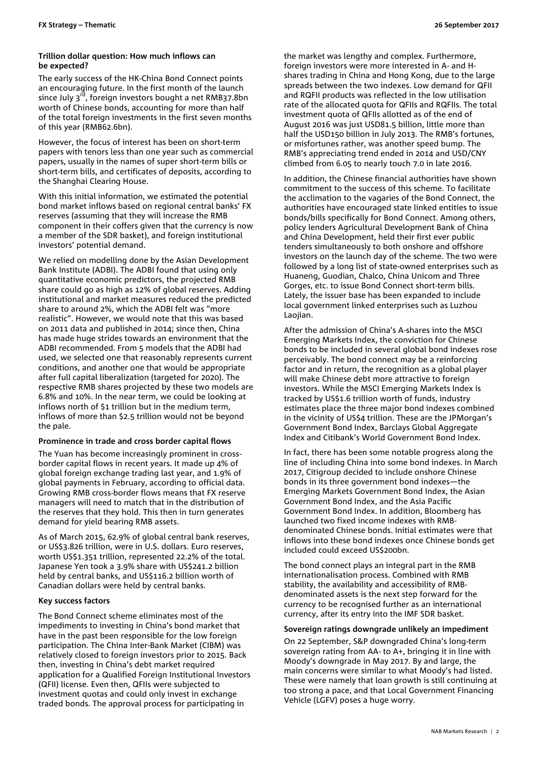### **Trillion dollar question: How much inflows can be expected?**

The early success of the HK-China Bond Connect points an encouraging future. In the first month of the launch since July  $3^{\overline{r}d}$ , foreign investors bought a net RMB37.8bn worth of Chinese bonds, accounting for more than half of the total foreign investments in the first seven months of this year (RMB62.6bn).

However, the focus of interest has been on short-term papers with tenors less than one year such as commercial papers, usually in the names of super short-term bills or short-term bills, and certificates of deposits, according to the Shanghai Clearing House.

With this initial information, we estimated the potential bond market inflows based on regional central banks' FX reserves (assuming that they will increase the RMB component in their coffers given that the currency is now a member of the SDR basket), and foreign institutional investors' potential demand.

We relied on modelling done by the Asian Development Bank Institute (ADBI). The ADBI found that using only quantitative economic predictors, the projected RMB share could go as high as 12% of global reserves. Adding institutional and market measures reduced the predicted share to around 2%, which the ADBI felt was "more realistic". However, we would note that this was based on 2011 data and published in 2014; since then, China has made huge strides towards an environment that the ADBI recommended. From 5 models that the ADBI had used, we selected one that reasonably represents current conditions, and another one that would be appropriate after full capital liberalization (targeted for 2020). The respective RMB shares projected by these two models are 6.8% and 10%. In the near term, we could be looking at inflows north of \$1 trillion but in the medium term, inflows of more than \$2.5 trillion would not be beyond the pale.

## **Prominence in trade and cross border capital flows**

The Yuan has become increasingly prominent in crossborder capital flows in recent years. It made up 4% of global foreign exchange trading last year, and 1.9% of global payments in February, according to official data. Growing RMB cross-border flows means that FX reserve managers will need to match that in the distribution of the reserves that they hold. This then in turn generates demand for yield bearing RMB assets.

As of March 2015, 62.9% of global central bank reserves, or US\$3.826 trillion, were in U.S. dollars. Euro reserves, worth US\$1.351 trillion, represented 22.2% of the total. Japanese Yen took a 3.9% share with US\$241.2 billion held by central banks, and US\$116.2 billion worth of Canadian dollars were held by central banks.

## **Key success factors**

The Bond Connect scheme eliminates most of the impediments to investing in China's bond market that have in the past been responsible for the low foreign participation. The China Inter-Bank Market (CIBM) was relatively closed to foreign investors prior to 2015. Back then, investing in China's debt market required application for a Qualified Foreign Institutional Investors (QFII) license. Even then, QFIIs were subjected to investment quotas and could only invest in exchange traded bonds. The approval process for participating in

the market was lengthy and complex. Furthermore, foreign investors were more interested in A- and Hshares trading in China and Hong Kong, due to the large spreads between the two indexes. Low demand for QFII and RQFII products was reflected in the low utilisation rate of the allocated quota for QFIIs and RQFIIs. The total investment quota of QFIIs allotted as of the end of August 2016 was just USD81.5 billion, little more than half the USD150 billion in July 2013. The RMB's fortunes, or misfortunes rather, was another speed bump. The RMB's appreciating trend ended in 2014 and USD/CNY climbed from 6.05 to nearly touch 7.0 in late 2016.

In addition, the Chinese financial authorities have shown commitment to the success of this scheme. To facilitate the acclimation to the vagaries of the Bond Connect, the authorities have encouraged state linked entities to issue bonds/bills specifically for Bond Connect. Among others, policy lenders Agricultural Development Bank of China and China Development, held their first ever public tenders simultaneously to both onshore and offshore investors on the launch day of the scheme. The two were followed by a long list of state-owned enterprises such as Huaneng, Guodian, Chalco, China Unicom and Three Gorges, etc. to issue Bond Connect short-term bills. Lately, the issuer base has been expanded to include local government linked enterprises such as Luzhou Laojian.

After the admission of China's A-shares into the MSCI Emerging Markets Index, the conviction for Chinese bonds to be included in several global bond indexes rose perceivably. The bond connect may be a reinforcing factor and in return, the recognition as a global player will make Chinese debt more attractive to foreign investors. While the MSCI Emerging Markets Index is tracked by US\$1.6 trillion worth of funds, industry estimates place the three major bond indexes combined in the vicinity of US\$4 trillion. These are the JPMorgan's Government Bond Index, Barclays Global Aggregate Index and Citibank's World Government Bond Index.

In fact, there has been some notable progress along the line of including China into some bond indexes. In March 2017, Citigroup decided to include onshore Chinese bonds in its three government bond indexes—the Emerging Markets Government Bond Index, the Asian Government Bond Index, and the Asia Pacific Government Bond Index. In addition, Bloomberg has launched two fixed income indexes with RMBdenominated Chinese bonds. Initial estimates were that inflows into these bond indexes once Chinese bonds get included could exceed US\$200bn.

The bond connect plays an integral part in the RMB internationalisation process. Combined with RMB stability, the availability and accessibility of RMBdenominated assets is the next step forward for the currency to be recognised further as an international currency, after its entry into the IMF SDR basket.

#### **Sovereign ratings downgrade unlikely an impediment**

On 22 September, S&P downgraded China's long-term sovereign rating from AA- to A+, bringing it in line with Moody's downgrade in May 2017. By and large, the main concerns were similar to what Moody's had listed. These were namely that loan growth is still continuing at too strong a pace, and that Local Government Financing Vehicle (LGFV) poses a huge worry.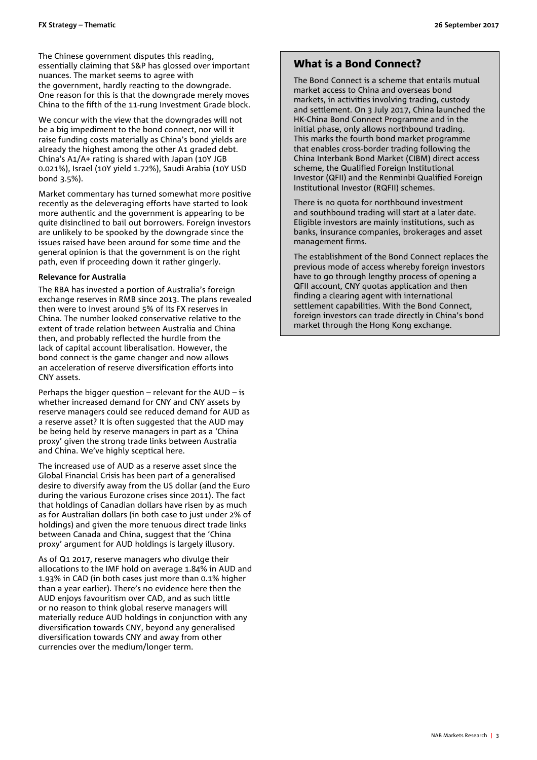The Chinese government disputes this reading, essentially claiming that S&P has glossed over important nuances. The market seems to agree with the government, hardly reacting to the downgrade. One reason for this is that the downgrade merely moves China to the fifth of the 11-rung Investment Grade block.

We concur with the view that the downgrades will not be a big impediment to the bond connect, nor will it raise funding costs materially as China's bond yields are already the highest among the other A1 graded debt. China's A1/A+ rating is shared with Japan (10Y JGB 0.021%), Israel (10Y yield 1.72%), Saudi Arabia (10Y USD bond 3.5%).

Market commentary has turned somewhat more positive recently as the deleveraging efforts have started to look more authentic and the government is appearing to be quite disinclined to bail out borrowers. Foreign investors are unlikely to be spooked by the downgrade since the issues raised have been around for some time and the general opinion is that the government is on the right path, even if proceeding down it rather gingerly.

### **Relevance for Australia**

The RBA has invested a portion of Australia's foreign exchange reserves in RMB since 2013. The plans revealed then were to invest around 5% of its FX reserves in China. The number looked conservative relative to the extent of trade relation between Australia and China then, and probably reflected the hurdle from the lack of capital account liberalisation. However, the bond connect is the game changer and now allows an acceleration of reserve diversification efforts into CNY assets.

Perhaps the bigger question – relevant for the AUD – is whether increased demand for CNY and CNY assets by reserve managers could see reduced demand for AUD as a reserve asset? It is often suggested that the AUD may be being held by reserve managers in part as a 'China proxy' given the strong trade links between Australia and China. We've highly sceptical here.

The increased use of AUD as a reserve asset since the Global Financial Crisis has been part of a generalised desire to diversify away from the US dollar (and the Euro during the various Eurozone crises since 2011). The fact that holdings of Canadian dollars have risen by as much as for Australian dollars (in both case to just under 2% of holdings) and given the more tenuous direct trade links between Canada and China, suggest that the 'China proxy' argument for AUD holdings is largely illusory.

As of Q1 2017, reserve managers who divulge their allocations to the IMF hold on average 1.84% in AUD and 1.93% in CAD (in both cases just more than 0.1% higher than a year earlier). There's no evidence here then the AUD enjoys favouritism over CAD, and as such little or no reason to think global reserve managers will materially reduce AUD holdings in conjunction with any diversification towards CNY, beyond any generalised diversification towards CNY and away from other currencies over the medium/longer term.

## What is a Bond Connect?

The Bond Connect is a scheme that entails mutual market access to China and overseas bond markets, in activities involving trading, custody and settlement. On 3 July 2017, China launched the HK-China Bond Connect Programme and in the initial phase, only allows northbound trading. This marks the fourth bond market programme that enables cross-border trading following the China Interbank Bond Market (CIBM) direct access scheme, the Qualified Foreign Institutional Investor (QFII) and the Renminbi Qualified Foreign Institutional Investor (RQFII) schemes.

There is no quota for northbound investment and southbound trading will start at a later date. Eligible investors are mainly institutions, such as banks, insurance companies, brokerages and asset management firms.

The establishment of the Bond Connect replaces the previous mode of access whereby foreign investors have to go through lengthy process of opening a QFII account, CNY quotas application and then finding a clearing agent with international settlement capabilities. With the Bond Connect, foreign investors can trade directly in China's bond market through the Hong Kong exchange.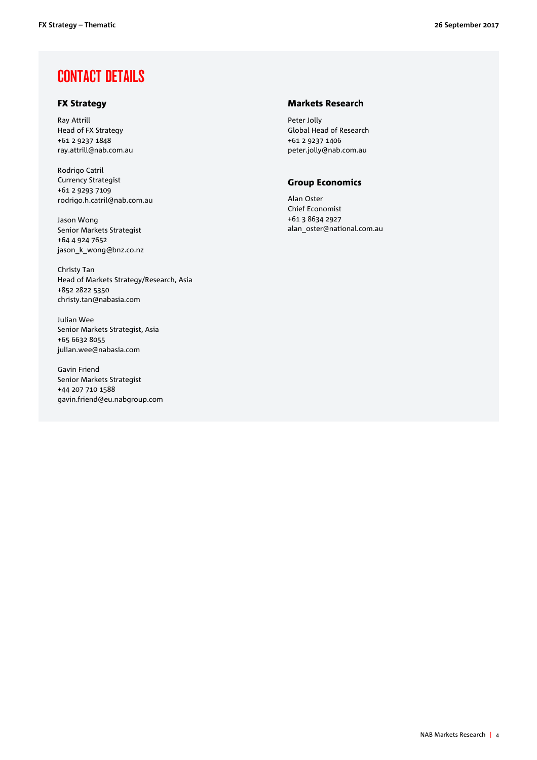## CONTACT DETAILS

## FX Strategy

Ray Attrill Head of FX Strategy +61 2 9237 1848 ray.attrill@nab.com.au

Rodrigo Catril Currency Strategist +61 2 9293 7109 rodrigo.h.catril@nab.com.au

Jason Wong Senior Markets Strategist +64 4 924 7652 jason\_k\_wong@bnz.co.nz

Christy Tan Head of Markets Strategy/Research, Asia +852 2822 5350 christy.tan@nabasia.com

Julian Wee Senior Markets Strategist, Asia +65 6632 8055 julian.wee@nabasia.com

Gavin Friend Senior Markets Strategist +44 207 710 1588 gavin.friend@eu.nabgroup.com

## Markets Research

Peter Jolly Global Head of Research +61 2 9237 1406 peter.jolly@nab.com.au

## Group Economics

Alan Oster Chief Economist +61 3 8634 2927 alan\_oster@national.com.au